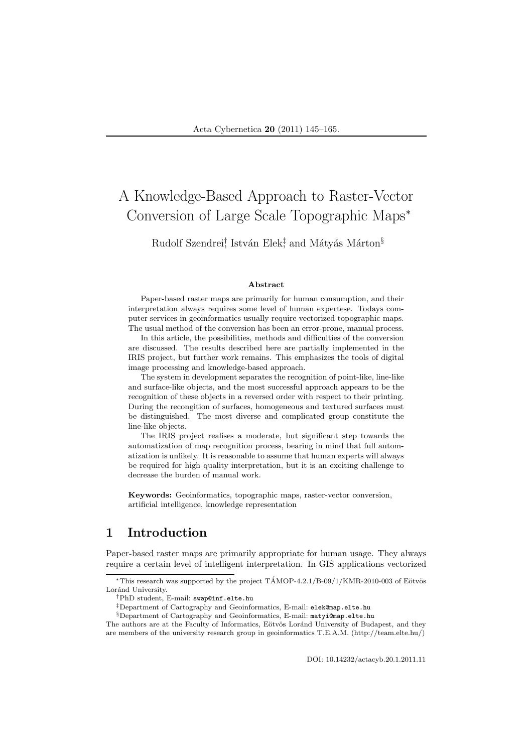# A Knowledge-Based Approach to Raster-Vector Conversion of Large Scale Topographic Maps<sup>∗</sup>

Rudolf Szendrei† István Elek‡ and Mátyás Márton<sup>§</sup>

#### Abstract

Paper-based raster maps are primarily for human consumption, and their interpretation always requires some level of human expertese. Todays computer services in geoinformatics usually require vectorized topographic maps. The usual method of the conversion has been an error-prone, manual process.

In this article, the possibilities, methods and difficulties of the conversion are discussed. The results described here are partially implemented in the IRIS project, but further work remains. This emphasizes the tools of digital image processing and knowledge-based approach.

The system in development separates the recognition of point-like, line-like and surface-like objects, and the most successful approach appears to be the recognition of these objects in a reversed order with respect to their printing. During the recongition of surfaces, homogeneous and textured surfaces must be distinguished. The most diverse and complicated group constitute the line-like objects.

The IRIS project realises a moderate, but significant step towards the automatization of map recognition process, bearing in mind that full automatization is unlikely. It is reasonable to assume that human experts will always be required for high quality interpretation, but it is an exciting challenge to decrease the burden of manual work.

Keywords: Geoinformatics, topographic maps, raster-vector conversion, artificial intelligence, knowledge representation

# 1 Introduction

Paper-based raster maps are primarily appropriate for human usage. They always require a certain level of intelligent interpretation. In GIS applications vectorized

§Department of Cartography and Geoinformatics, E-mail: matyi@map.elte.hu

The authors are at the Faculty of Informatics, Eötvös Loránd University of Budapest, and they are members of the university research group in geoinformatics T.E.A.M. (http://team.elte.hu/)

DOI: 10.14232/actacyb.20.1.2011.11

<sup>\*</sup>This research was supported by the project  $TAMOP-4.2.1/B-09/1/KMR-2010-003$  of Eötvös Loránd University.

<sup>†</sup>PhD student, E-mail: swap@inf.elte.hu

<sup>‡</sup>Department of Cartography and Geoinformatics, E-mail: elek@map.elte.hu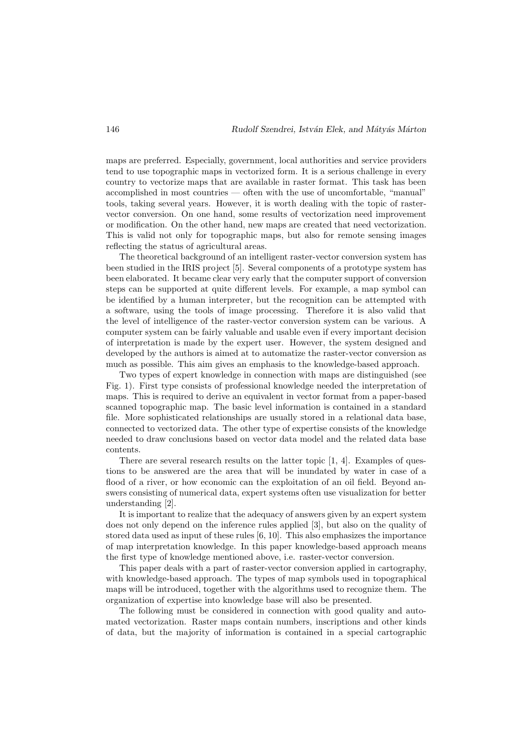maps are preferred. Especially, government, local authorities and service providers tend to use topographic maps in vectorized form. It is a serious challenge in every country to vectorize maps that are available in raster format. This task has been accomplished in most countries — often with the use of uncomfortable, "manual" tools, taking several years. However, it is worth dealing with the topic of rastervector conversion. On one hand, some results of vectorization need improvement or modification. On the other hand, new maps are created that need vectorization. This is valid not only for topographic maps, but also for remote sensing images reflecting the status of agricultural areas.

The theoretical background of an intelligent raster-vector conversion system has been studied in the IRIS project [5]. Several components of a prototype system has been elaborated. It became clear very early that the computer support of conversion steps can be supported at quite different levels. For example, a map symbol can be identified by a human interpreter, but the recognition can be attempted with a software, using the tools of image processing. Therefore it is also valid that the level of intelligence of the raster-vector conversion system can be various. A computer system can be fairly valuable and usable even if every important decision of interpretation is made by the expert user. However, the system designed and developed by the authors is aimed at to automatize the raster-vector conversion as much as possible. This aim gives an emphasis to the knowledge-based approach.

Two types of expert knowledge in connection with maps are distinguished (see Fig. 1). First type consists of professional knowledge needed the interpretation of maps. This is required to derive an equivalent in vector format from a paper-based scanned topographic map. The basic level information is contained in a standard file. More sophisticated relationships are usually stored in a relational data base, connected to vectorized data. The other type of expertise consists of the knowledge needed to draw conclusions based on vector data model and the related data base contents.

There are several research results on the latter topic [1, 4]. Examples of questions to be answered are the area that will be inundated by water in case of a flood of a river, or how economic can the exploitation of an oil field. Beyond answers consisting of numerical data, expert systems often use visualization for better understanding [2].

It is important to realize that the adequacy of answers given by an expert system does not only depend on the inference rules applied [3], but also on the quality of stored data used as input of these rules [6, 10]. This also emphasizes the importance of map interpretation knowledge. In this paper knowledge-based approach means the first type of knowledge mentioned above, i.e. raster-vector conversion.

This paper deals with a part of raster-vector conversion applied in cartography, with knowledge-based approach. The types of map symbols used in topographical maps will be introduced, together with the algorithms used to recognize them. The organization of expertise into knowledge base will also be presented.

The following must be considered in connection with good quality and automated vectorization. Raster maps contain numbers, inscriptions and other kinds of data, but the majority of information is contained in a special cartographic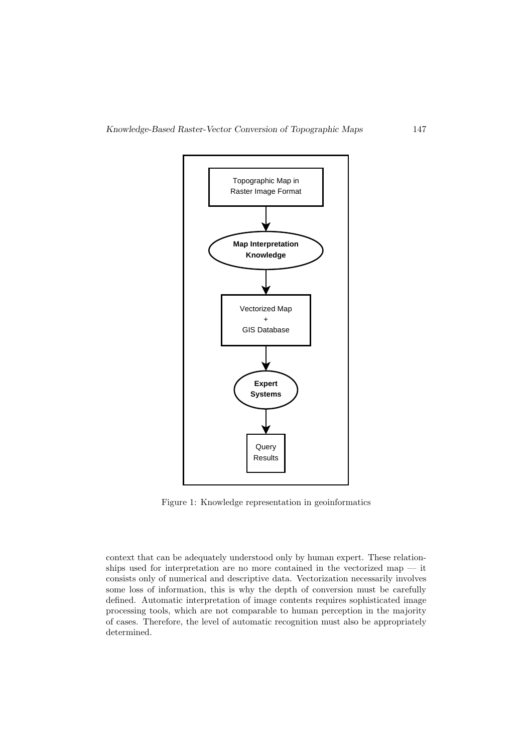

Figure 1: Knowledge representation in geoinformatics

context that can be adequately understood only by human expert. These relationships used for interpretation are no more contained in the vectorized map — it consists only of numerical and descriptive data. Vectorization necessarily involves some loss of information, this is why the depth of conversion must be carefully defined. Automatic interpretation of image contents requires sophisticated image processing tools, which are not comparable to human perception in the majority of cases. Therefore, the level of automatic recognition must also be appropriately determined.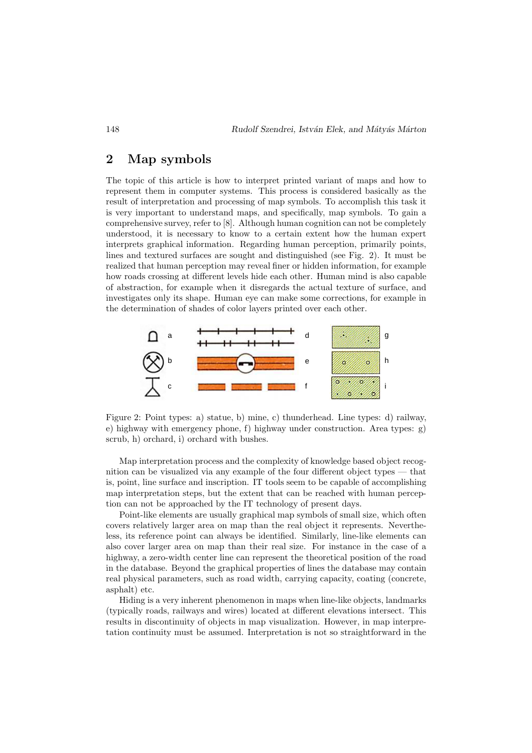# 2 Map symbols

The topic of this article is how to interpret printed variant of maps and how to represent them in computer systems. This process is considered basically as the result of interpretation and processing of map symbols. To accomplish this task it is very important to understand maps, and specifically, map symbols. To gain a comprehensive survey, refer to [8]. Although human cognition can not be completely understood, it is necessary to know to a certain extent how the human expert interprets graphical information. Regarding human perception, primarily points, lines and textured surfaces are sought and distinguished (see Fig. 2). It must be realized that human perception may reveal finer or hidden information, for example how roads crossing at different levels hide each other. Human mind is also capable of abstraction, for example when it disregards the actual texture of surface, and investigates only its shape. Human eye can make some corrections, for example in the determination of shades of color layers printed over each other.



Figure 2: Point types: a) statue, b) mine, c) thunderhead. Line types: d) railway, e) highway with emergency phone, f) highway under construction. Area types: g) scrub, h) orchard, i) orchard with bushes.

Map interpretation process and the complexity of knowledge based object recognition can be visualized via any example of the four different object types — that is, point, line surface and inscription. IT tools seem to be capable of accomplishing map interpretation steps, but the extent that can be reached with human perception can not be approached by the IT technology of present days.

Point-like elements are usually graphical map symbols of small size, which often covers relatively larger area on map than the real object it represents. Nevertheless, its reference point can always be identified. Similarly, line-like elements can also cover larger area on map than their real size. For instance in the case of a highway, a zero-width center line can represent the theoretical position of the road in the database. Beyond the graphical properties of lines the database may contain real physical parameters, such as road width, carrying capacity, coating (concrete, asphalt) etc.

Hiding is a very inherent phenomenon in maps when line-like objects, landmarks (typically roads, railways and wires) located at different elevations intersect. This results in discontinuity of objects in map visualization. However, in map interpretation continuity must be assumed. Interpretation is not so straightforward in the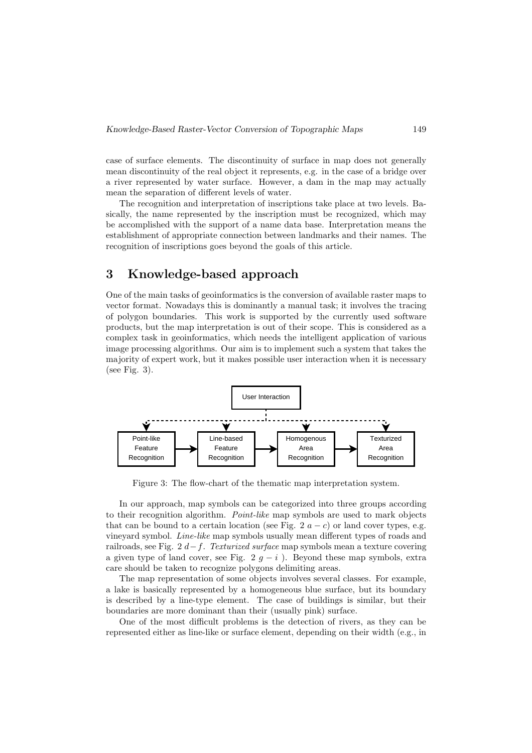case of surface elements. The discontinuity of surface in map does not generally mean discontinuity of the real object it represents, e.g. in the case of a bridge over a river represented by water surface. However, a dam in the map may actually mean the separation of different levels of water.

The recognition and interpretation of inscriptions take place at two levels. Basically, the name represented by the inscription must be recognized, which may be accomplished with the support of a name data base. Interpretation means the establishment of appropriate connection between landmarks and their names. The recognition of inscriptions goes beyond the goals of this article.

# 3 Knowledge-based approach

One of the main tasks of geoinformatics is the conversion of available raster maps to vector format. Nowadays this is dominantly a manual task; it involves the tracing of polygon boundaries. This work is supported by the currently used software products, but the map interpretation is out of their scope. This is considered as a complex task in geoinformatics, which needs the intelligent application of various image processing algorithms. Our aim is to implement such a system that takes the majority of expert work, but it makes possible user interaction when it is necessary (see Fig. 3).



Figure 3: The flow-chart of the thematic map interpretation system.

In our approach, map symbols can be categorized into three groups according to their recognition algorithm. *Point-like* map symbols are used to mark objects that can be bound to a certain location (see Fig. 2  $a - c$ ) or land cover types, e.g. vineyard symbol. Line-like map symbols usually mean different types of roads and railroads, see Fig. 2 d−f. Texturized surface map symbols mean a texture covering a given type of land cover, see Fig. 2  $g - i$ ). Beyond these map symbols, extra care should be taken to recognize polygons delimiting areas.

The map representation of some objects involves several classes. For example, a lake is basically represented by a homogeneous blue surface, but its boundary is described by a line-type element. The case of buildings is similar, but their boundaries are more dominant than their (usually pink) surface.

One of the most difficult problems is the detection of rivers, as they can be represented either as line-like or surface element, depending on their width (e.g., in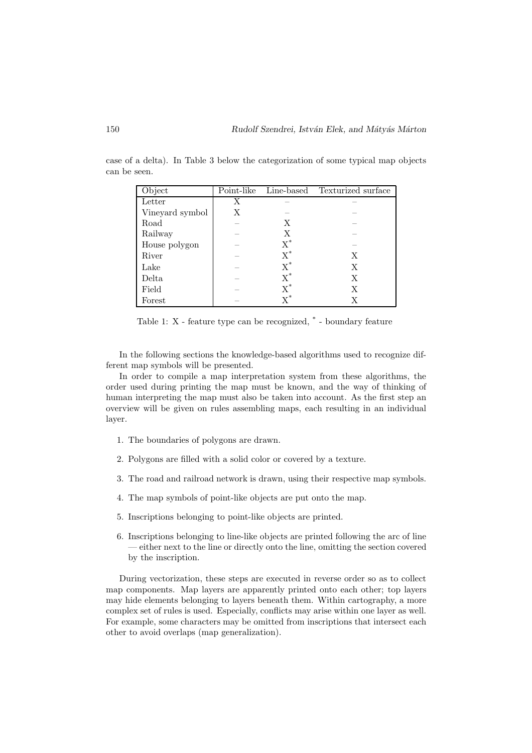| Object          | Point-like |                           | Line-based Texturized surface |
|-----------------|------------|---------------------------|-------------------------------|
| Letter          | Х          |                           |                               |
| Vineyard symbol | X          |                           |                               |
| Road            |            | Х                         |                               |
| Railway         |            | X                         |                               |
| House polygon   |            | $X^*$                     |                               |
| River           |            | $X^*$                     | X                             |
| Lake            |            | $X^*$                     | X                             |
| Delta           |            | $\overline{\mathrm{X}}^*$ | Х                             |
| Field           |            | $X^*$                     | Х                             |
| Forest          |            | $\mathrm{v}^*$            |                               |

case of a delta). In Table 3 below the categorization of some typical map objects can be seen.

Table 1: X - feature type can be recognized, \* - boundary feature

In the following sections the knowledge-based algorithms used to recognize different map symbols will be presented.

In order to compile a map interpretation system from these algorithms, the order used during printing the map must be known, and the way of thinking of human interpreting the map must also be taken into account. As the first step an overview will be given on rules assembling maps, each resulting in an individual layer.

- 1. The boundaries of polygons are drawn.
- 2. Polygons are filled with a solid color or covered by a texture.
- 3. The road and railroad network is drawn, using their respective map symbols.
- 4. The map symbols of point-like objects are put onto the map.
- 5. Inscriptions belonging to point-like objects are printed.
- 6. Inscriptions belonging to line-like objects are printed following the arc of line — either next to the line or directly onto the line, omitting the section covered by the inscription.

During vectorization, these steps are executed in reverse order so as to collect map components. Map layers are apparently printed onto each other; top layers may hide elements belonging to layers beneath them. Within cartography, a more complex set of rules is used. Especially, conflicts may arise within one layer as well. For example, some characters may be omitted from inscriptions that intersect each other to avoid overlaps (map generalization).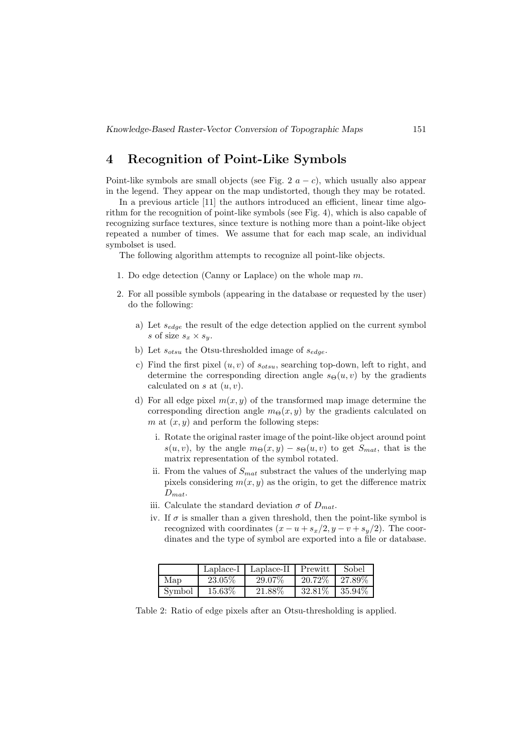# 4 Recognition of Point-Like Symbols

Point-like symbols are small objects (see Fig. 2  $a - c$ ), which usually also appear in the legend. They appear on the map undistorted, though they may be rotated.

In a previous article [11] the authors introduced an efficient, linear time algorithm for the recognition of point-like symbols (see Fig. 4), which is also capable of recognizing surface textures, since texture is nothing more than a point-like object repeated a number of times. We assume that for each map scale, an individual symbolset is used.

The following algorithm attempts to recognize all point-like objects.

- 1. Do edge detection (Canny or Laplace) on the whole map  $m$ .
- 2. For all possible symbols (appearing in the database or requested by the user) do the following:
	- a) Let  $s_{edge}$  the result of the edge detection applied on the current symbol s of size  $s_x \times s_y$ .
	- b) Let  $s_{otsu}$  the Otsu-thresholded image of  $s_{edge}$ .
	- c) Find the first pixel  $(u, v)$  of  $s_{otsu}$ , searching top-down, left to right, and determine the corresponding direction angle  $s_{\Theta}(u, v)$  by the gradients calculated on s at  $(u, v)$ .
	- d) For all edge pixel  $m(x, y)$  of the transformed map image determine the corresponding direction angle  $m_{\Theta}(x, y)$  by the gradients calculated on m at  $(x, y)$  and perform the following steps:
		- i. Rotate the original raster image of the point-like object around point  $s(u, v)$ , by the angle  $m_{\Theta}(x, y) - s_{\Theta}(u, v)$  to get  $S_{mat}$ , that is the matrix representation of the symbol rotated.
		- ii. From the values of  $S<sub>mat</sub>$  substract the values of the underlying map pixels considering  $m(x, y)$  as the origin, to get the difference matrix  $D_{mat}$ .
		- iii. Calculate the standard deviation  $\sigma$  of  $D_{mat}$ .
		- iv. If  $\sigma$  is smaller than a given threshold, then the point-like symbol is recognized with coordinates  $(x - u + s_x/2, y - v + s_y/2)$ . The coordinates and the type of symbol are exported into a file or database.

|        |         | Laplace- $I \mid$ Laplace-II | Prewitt   | Sobel     |
|--------|---------|------------------------------|-----------|-----------|
| Map    | 23.05\% | 29.07%                       | 20.72\%   | $27.89\%$ |
| Symbol | 15.63%  | 21.88%                       | $32.81\%$ | $35.94\%$ |

Table 2: Ratio of edge pixels after an Otsu-thresholding is applied.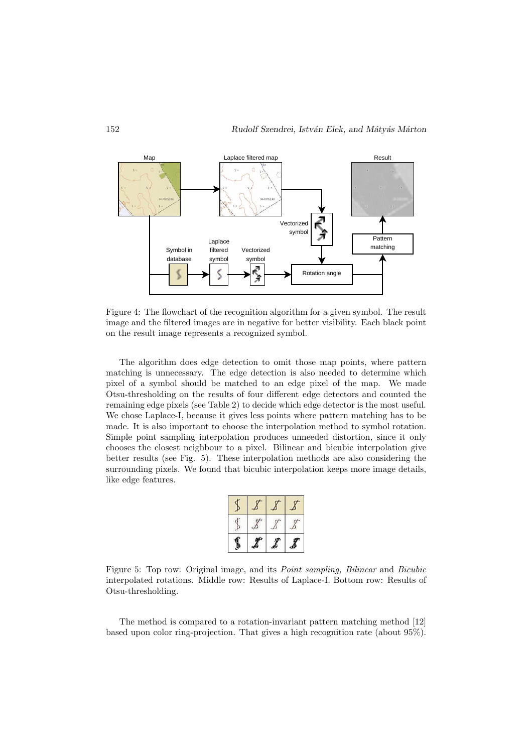

Figure 4: The flowchart of the recognition algorithm for a given symbol. The result image and the filtered images are in negative for better visibility. Each black point on the result image represents a recognized symbol.

The algorithm does edge detection to omit those map points, where pattern matching is unnecessary. The edge detection is also needed to determine which pixel of a symbol should be matched to an edge pixel of the map. We made Otsu-thresholding on the results of four different edge detectors and counted the remaining edge pixels (see Table 2) to decide which edge detector is the most useful. We chose Laplace-I, because it gives less points where pattern matching has to be made. It is also important to choose the interpolation method to symbol rotation. Simple point sampling interpolation produces unneeded distortion, since it only chooses the closest neighbour to a pixel. Bilinear and bicubic interpolation give better results (see Fig. 5). These interpolation methods are also considering the surrounding pixels. We found that bicubic interpolation keeps more image details, like edge features.

Figure 5: Top row: Original image, and its Point sampling, Bilinear and Bicubic interpolated rotations. Middle row: Results of Laplace-I. Bottom row: Results of Otsu-thresholding.

The method is compared to a rotation-invariant pattern matching method [12] based upon color ring-projection. That gives a high recognition rate (about 95%).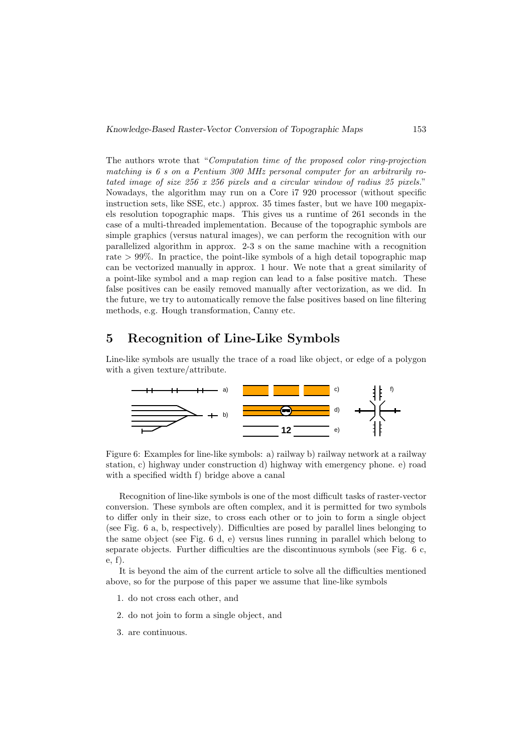The authors wrote that "Computation time of the proposed color ring-projection matching is 6 s on a Pentium 300 MHz personal computer for an arbitrarily rotated image of size 256 x 256 pixels and a circular window of radius 25 pixels." Nowadays, the algorithm may run on a Core i7 920 processor (without specific instruction sets, like SSE, etc.) approx. 35 times faster, but we have 100 megapixels resolution topographic maps. This gives us a runtime of 261 seconds in the case of a multi-threaded implementation. Because of the topographic symbols are simple graphics (versus natural images), we can perform the recognition with our parallelized algorithm in approx. 2-3 s on the same machine with a recognition rate > 99%. In practice, the point-like symbols of a high detail topographic map can be vectorized manually in approx. 1 hour. We note that a great similarity of a point-like symbol and a map region can lead to a false positive match. These false positives can be easily removed manually after vectorization, as we did. In the future, we try to automatically remove the false positives based on line filtering methods, e.g. Hough transformation, Canny etc.

# 5 Recognition of Line-Like Symbols

Line-like symbols are usually the trace of a road like object, or edge of a polygon with a given texture/attribute.



Figure 6: Examples for line-like symbols: a) railway b) railway network at a railway station, c) highway under construction d) highway with emergency phone. e) road with a specified width f) bridge above a canal

Recognition of line-like symbols is one of the most difficult tasks of raster-vector conversion. These symbols are often complex, and it is permitted for two symbols to differ only in their size, to cross each other or to join to form a single object (see Fig. 6 a, b, respectively). Difficulties are posed by parallel lines belonging to the same object (see Fig. 6 d, e) versus lines running in parallel which belong to separate objects. Further difficulties are the discontinuous symbols (see Fig. 6 c, e, f).

It is beyond the aim of the current article to solve all the difficulties mentioned above, so for the purpose of this paper we assume that line-like symbols

- 1. do not cross each other, and
- 2. do not join to form a single object, and
- 3. are continuous.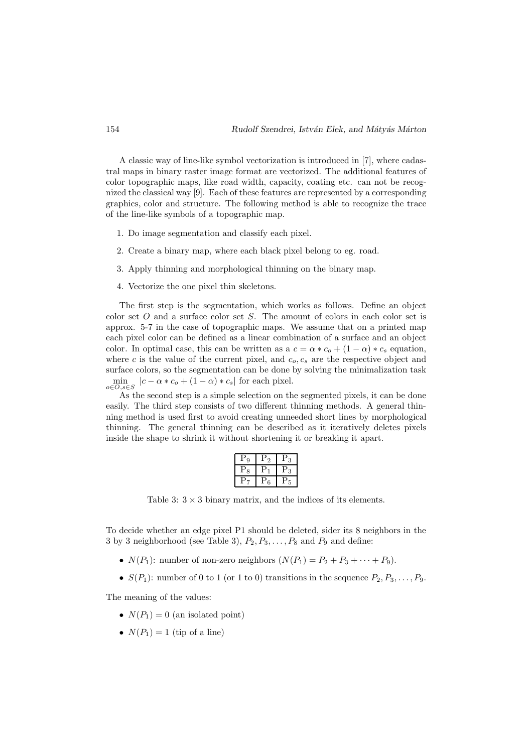A classic way of line-like symbol vectorization is introduced in [7], where cadastral maps in binary raster image format are vectorized. The additional features of color topographic maps, like road width, capacity, coating etc. can not be recognized the classical way [9]. Each of these features are represented by a corresponding graphics, color and structure. The following method is able to recognize the trace of the line-like symbols of a topographic map.

- 1. Do image segmentation and classify each pixel.
- 2. Create a binary map, where each black pixel belong to eg. road.
- 3. Apply thinning and morphological thinning on the binary map.
- 4. Vectorize the one pixel thin skeletons.

The first step is the segmentation, which works as follows. Define an object color set O and a surface color set S. The amount of colors in each color set is approx. 5-7 in the case of topographic maps. We assume that on a printed map each pixel color can be defined as a linear combination of a surface and an object color. In optimal case, this can be written as a  $c = \alpha * c_0 + (1 - \alpha) * c_s$  equation, where c is the value of the current pixel, and  $c<sub>o</sub>, c<sub>s</sub>$  are the respective object and surface colors, so the segmentation can be done by solving the minimalization task  $\min_{o \in O, s \in S} |c - \alpha * c_o + (1 - \alpha) * c_s|$  for each pixel.

As the second step is a simple selection on the segmented pixels, it can be done easily. The third step consists of two different thinning methods. A general thinning method is used first to avoid creating unneeded short lines by morphological thinning. The general thinning can be described as it iteratively deletes pixels inside the shape to shrink it without shortening it or breaking it apart.

| 9              | $\overline{2}$ | 3      |
|----------------|----------------|--------|
| $\mathrm{P}_8$ |                | r<br>3 |
|                | 6              |        |

Table 3:  $3 \times 3$  binary matrix, and the indices of its elements.

To decide whether an edge pixel P1 should be deleted, sider its 8 neighbors in the 3 by 3 neighborhood (see Table 3),  $P_2, P_3, \ldots, P_8$  and  $P_9$  and define:

- $N(P_1)$ : number of non-zero neighbors  $(N(P_1) = P_2 + P_3 + \cdots + P_9)$ .
- $S(P_1)$ : number of 0 to 1 (or 1 to 0) transitions in the sequence  $P_2, P_3, \ldots, P_9$ .

The meaning of the values:

- $N(P_1) = 0$  (an isolated point)
- $N(P_1) = 1$  (tip of a line)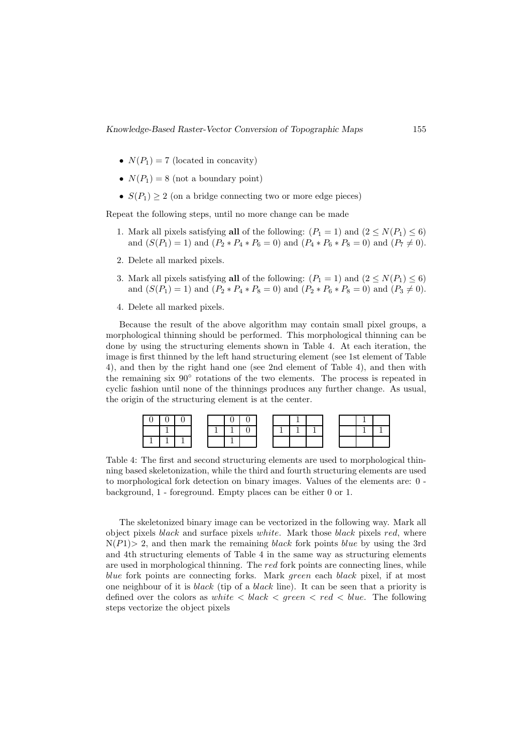- $N(P_1) = 7$  (located in concavity)
- $N(P_1) = 8$  (not a boundary point)
- $S(P_1) \geq 2$  (on a bridge connecting two or more edge pieces)

Repeat the following steps, until no more change can be made

- 1. Mark all pixels satisfying all of the following:  $(P_1 = 1)$  and  $(2 \le N(P_1) \le 6)$ and  $(S(P_1) = 1)$  and  $(P_2 * P_4 * P_6 = 0)$  and  $(P_4 * P_6 * P_8 = 0)$  and  $(P_7 \neq 0)$ .
- 2. Delete all marked pixels.
- 3. Mark all pixels satisfying all of the following:  $(P_1 = 1)$  and  $(2 \le N(P_1) \le 6)$ and  $(S(P_1) = 1)$  and  $(P_2 * P_4 * P_8 = 0)$  and  $(P_2 * P_6 * P_8 = 0)$  and  $(P_3 \neq 0)$ .
- 4. Delete all marked pixels.

Because the result of the above algorithm may contain small pixel groups, a morphological thinning should be performed. This morphological thinning can be done by using the structuring elements shown in Table 4. At each iteration, the image is first thinned by the left hand structuring element (see 1st element of Table 4), and then by the right hand one (see 2nd element of Table 4), and then with the remaining six  $90°$  rotations of the two elements. The process is repeated in cyclic fashion until none of the thinnings produces any further change. As usual, the origin of the structuring element is at the center.



Table 4: The first and second structuring elements are used to morphological thinning based skeletonization, while the third and fourth structuring elements are used to morphological fork detection on binary images. Values of the elements are: 0 background, 1 - foreground. Empty places can be either 0 or 1.

The skeletonized binary image can be vectorized in the following way. Mark all object pixels black and surface pixels white. Mark those black pixels red, where  $N(P1) > 2$ , and then mark the remaining black fork points blue by using the 3rd and 4th structuring elements of Table 4 in the same way as structuring elements are used in morphological thinning. The red fork points are connecting lines, while blue fork points are connecting forks. Mark green each black pixel, if at most one neighbour of it is black (tip of a black line). It can be seen that a priority is defined over the colors as white  $\langle$  black  $\langle$  green  $\langle$  red  $\langle$  blue. The following steps vectorize the object pixels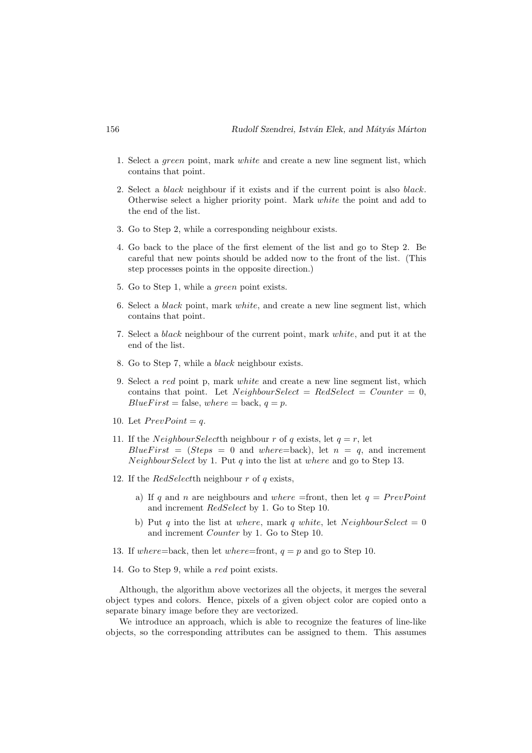- 1. Select a green point, mark white and create a new line segment list, which contains that point.
- 2. Select a *black* neighbour if it exists and if the current point is also *black*. Otherwise select a higher priority point. Mark white the point and add to the end of the list.
- 3. Go to Step 2, while a corresponding neighbour exists.
- 4. Go back to the place of the first element of the list and go to Step 2. Be careful that new points should be added now to the front of the list. (This step processes points in the opposite direction.)
- 5. Go to Step 1, while a green point exists.
- 6. Select a black point, mark white, and create a new line segment list, which contains that point.
- 7. Select a black neighbour of the current point, mark white, and put it at the end of the list.
- 8. Go to Step 7, while a black neighbour exists.
- 9. Select a red point p, mark white and create a new line segment list, which contains that point. Let  $NeighbourSelect = RedSelect = Counter = 0$ ,  $BlueFirst = false, where = back, q = p.$
- 10. Let  $PrevPoint = q$ .
- 11. If the *NeighbourSelectth* neighbour r of q exists, let  $q = r$ , let  $BlueFirst = (Steps = 0 and where = back)$ , let  $n = q$ , and increment  $NeighbourSelect$  by 1. Put q into the list at where and go to Step 13.
- 12. If the  $RedSelect$ th neighbour  $r$  of  $q$  exists,
	- a) If q and n are neighbours and where =front, then let  $q = PrevPoint$ and increment RedSelect by 1. Go to Step 10.
	- b) Put q into the list at where, mark q white, let  $NeighbourSelect = 0$ and increment Counter by 1. Go to Step 10.
- 13. If where=back, then let where=front,  $q = p$  and go to Step 10.
- 14. Go to Step 9, while a red point exists.

Although, the algorithm above vectorizes all the objects, it merges the several object types and colors. Hence, pixels of a given object color are copied onto a separate binary image before they are vectorized.

We introduce an approach, which is able to recognize the features of line-like objects, so the corresponding attributes can be assigned to them. This assumes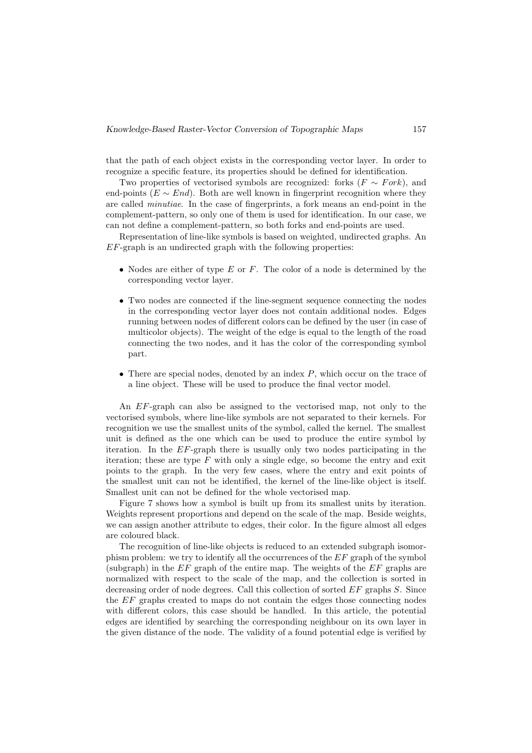that the path of each object exists in the corresponding vector layer. In order to recognize a specific feature, its properties should be defined for identification.

Two properties of vectorised symbols are recognized: forks  $(F \sim Fork)$ , and end-points ( $E \sim End$ ). Both are well known in fingerprint recognition where they are called minutiae. In the case of fingerprints, a fork means an end-point in the complement-pattern, so only one of them is used for identification. In our case, we can not define a complement-pattern, so both forks and end-points are used.

Representation of line-like symbols is based on weighted, undirected graphs. An  $EF$ -graph is an undirected graph with the following properties:

- Nodes are either of type  $E$  or  $F$ . The color of a node is determined by the corresponding vector layer.
- Two nodes are connected if the line-segment sequence connecting the nodes in the corresponding vector layer does not contain additional nodes. Edges running between nodes of different colors can be defined by the user (in case of multicolor objects). The weight of the edge is equal to the length of the road connecting the two nodes, and it has the color of the corresponding symbol part.
- There are special nodes, denoted by an index  $P$ , which occur on the trace of a line object. These will be used to produce the final vector model.

An EF-graph can also be assigned to the vectorised map, not only to the vectorised symbols, where line-like symbols are not separated to their kernels. For recognition we use the smallest units of the symbol, called the kernel. The smallest unit is defined as the one which can be used to produce the entire symbol by iteration. In the EF-graph there is usually only two nodes participating in the iteration; these are type  $F$  with only a single edge, so become the entry and exit points to the graph. In the very few cases, where the entry and exit points of the smallest unit can not be identified, the kernel of the line-like object is itself. Smallest unit can not be defined for the whole vectorised map.

Figure 7 shows how a symbol is built up from its smallest units by iteration. Weights represent proportions and depend on the scale of the map. Beside weights, we can assign another attribute to edges, their color. In the figure almost all edges are coloured black.

The recognition of line-like objects is reduced to an extended subgraph isomorphism problem: we try to identify all the occurrences of the EF graph of the symbol (subgraph) in the  $EF$  graph of the entire map. The weights of the  $EF$  graphs are normalized with respect to the scale of the map, and the collection is sorted in decreasing order of node degrees. Call this collection of sorted  $EF$  graphs  $S$ . Since the  $EF$  graphs created to maps do not contain the edges those connecting nodes with different colors, this case should be handled. In this article, the potential edges are identified by searching the corresponding neighbour on its own layer in the given distance of the node. The validity of a found potential edge is verified by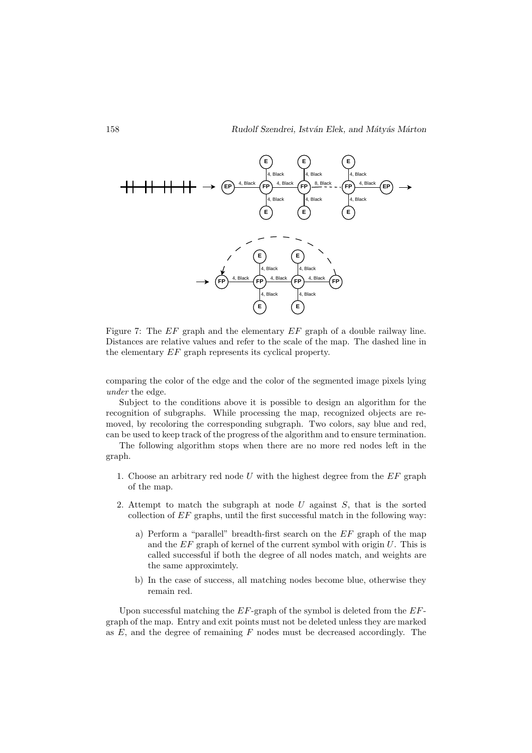

Figure 7: The EF graph and the elementary EF graph of a double railway line. Distances are relative values and refer to the scale of the map. The dashed line in the elementary EF graph represents its cyclical property.

comparing the color of the edge and the color of the segmented image pixels lying under the edge.

Subject to the conditions above it is possible to design an algorithm for the recognition of subgraphs. While processing the map, recognized objects are removed, by recoloring the corresponding subgraph. Two colors, say blue and red, can be used to keep track of the progress of the algorithm and to ensure termination.

The following algorithm stops when there are no more red nodes left in the graph.

- 1. Choose an arbitrary red node  $U$  with the highest degree from the  $EF$  graph of the map.
- 2. Attempt to match the subgraph at node  $U$  against  $S$ , that is the sorted collection of EF graphs, until the first successful match in the following way:
	- a) Perform a "parallel" breadth-first search on the EF graph of the map and the  $EF$  graph of kernel of the current symbol with origin  $U$ . This is called successful if both the degree of all nodes match, and weights are the same approximtely.
	- b) In the case of success, all matching nodes become blue, otherwise they remain red.

Upon successful matching the  $EF$ -graph of the symbol is deleted from the  $EF$ graph of the map. Entry and exit points must not be deleted unless they are marked as  $E$ , and the degree of remaining  $F$  nodes must be decreased accordingly. The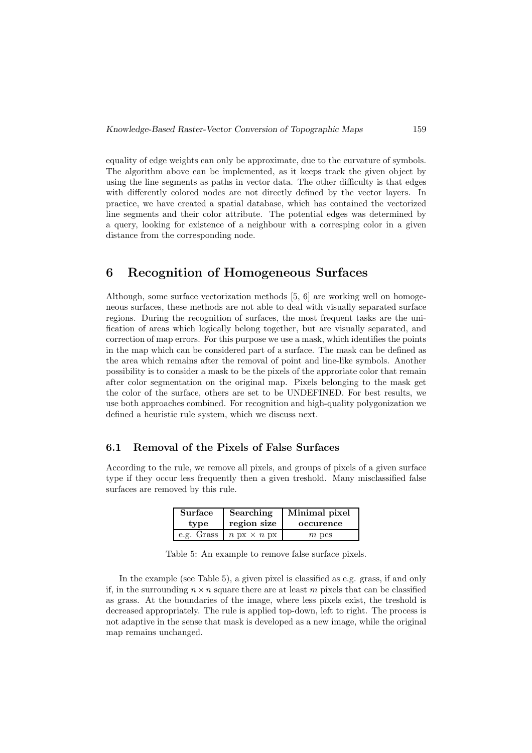equality of edge weights can only be approximate, due to the curvature of symbols. The algorithm above can be implemented, as it keeps track the given object by using the line segments as paths in vector data. The other difficulty is that edges with differently colored nodes are not directly defined by the vector layers. In practice, we have created a spatial database, which has contained the vectorized line segments and their color attribute. The potential edges was determined by a query, looking for existence of a neighbour with a corresping color in a given distance from the corresponding node.

# 6 Recognition of Homogeneous Surfaces

Although, some surface vectorization methods [5, 6] are working well on homogeneous surfaces, these methods are not able to deal with visually separated surface regions. During the recognition of surfaces, the most frequent tasks are the unification of areas which logically belong together, but are visually separated, and correction of map errors. For this purpose we use a mask, which identifies the points in the map which can be considered part of a surface. The mask can be defined as the area which remains after the removal of point and line-like symbols. Another possibility is to consider a mask to be the pixels of the approriate color that remain after color segmentation on the original map. Pixels belonging to the mask get the color of the surface, others are set to be UNDEFINED. For best results, we use both approaches combined. For recognition and high-quality polygonization we defined a heuristic rule system, which we discuss next.

#### 6.1 Removal of the Pixels of False Surfaces

According to the rule, we remove all pixels, and groups of pixels of a given surface type if they occur less frequently then a given treshold. Many misclassified false surfaces are removed by this rule.

| <b>Surface</b> | Searching                                          | Minimal pixel |  |
|----------------|----------------------------------------------------|---------------|--|
| type           | region size                                        | occurence     |  |
|                | e.g. Grass $\mid n \text{ px} \times n \text{ px}$ | $m$ pcs       |  |

Table 5: An example to remove false surface pixels.

In the example (see Table 5), a given pixel is classified as e.g. grass, if and only if, in the surrounding  $n \times n$  square there are at least m pixels that can be classified as grass. At the boundaries of the image, where less pixels exist, the treshold is decreased appropriately. The rule is applied top-down, left to right. The process is not adaptive in the sense that mask is developed as a new image, while the original map remains unchanged.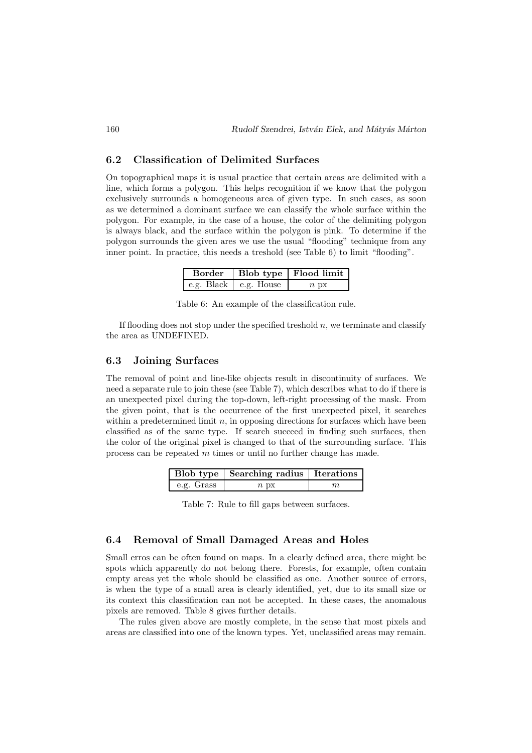#### 6.2 Classification of Delimited Surfaces

On topographical maps it is usual practice that certain areas are delimited with a line, which forms a polygon. This helps recognition if we know that the polygon exclusively surrounds a homogeneous area of given type. In such cases, as soon as we determined a dominant surface we can classify the whole surface within the polygon. For example, in the case of a house, the color of the delimiting polygon is always black, and the surface within the polygon is pink. To determine if the polygon surrounds the given ares we use the usual "flooding" technique from any inner point. In practice, this needs a treshold (see Table 6) to limit "flooding".

|                       | Border   Blob type   Flood limit |
|-----------------------|----------------------------------|
| e.g. Black e.g. House | $n_{\text{DX}}$                  |

Table 6: An example of the classification rule.

If flooding does not stop under the specified treshold  $n$ , we terminate and classify the area as UNDEFINED.

#### 6.3 Joining Surfaces

The removal of point and line-like objects result in discontinuity of surfaces. We need a separate rule to join these (see Table 7), which describes what to do if there is an unexpected pixel during the top-down, left-right processing of the mask. From the given point, that is the occurrence of the first unexpected pixel, it searches within a predetermined limit  $n$ , in opposing directions for surfaces which have been classified as of the same type. If search succeed in finding such surfaces, then the color of the original pixel is changed to that of the surrounding surface. This process can be repeated m times or until no further change has made.

|            | <b>Blob type</b> Searching radius   Iterations |  |
|------------|------------------------------------------------|--|
| e.g. Grass | $n_{\text{DX}}$                                |  |

Table 7: Rule to fill gaps between surfaces.

#### 6.4 Removal of Small Damaged Areas and Holes

Small erros can be often found on maps. In a clearly defined area, there might be spots which apparently do not belong there. Forests, for example, often contain empty areas yet the whole should be classified as one. Another source of errors, is when the type of a small area is clearly identified, yet, due to its small size or its context this classification can not be accepted. In these cases, the anomalous pixels are removed. Table 8 gives further details.

The rules given above are mostly complete, in the sense that most pixels and areas are classified into one of the known types. Yet, unclassified areas may remain.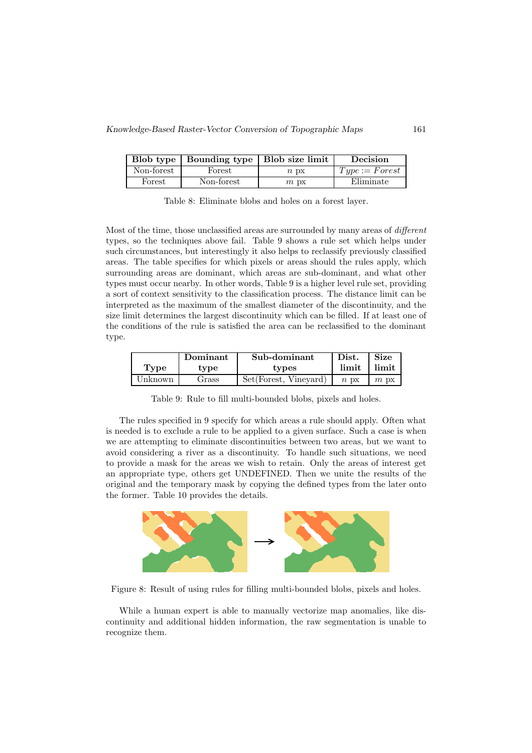|            | Blob type   Bounding type   Blob size limit |                 | Decision         |
|------------|---------------------------------------------|-----------------|------------------|
| Non-forest | Forest                                      | $n_{\text{DX}}$ | $Type := Forest$ |
| Forest     | Non-forest                                  | $m$ px          | Eliminate        |

Table 8: Eliminate blobs and holes on a forest layer.

Most of the time, those unclassified areas are surrounded by many areas of *different* types, so the techniques above fail. Table 9 shows a rule set which helps under such circumstances, but interestingly it also helps to reclassify previously classified areas. The table specifies for which pixels or areas should the rules apply, which surrounding areas are dominant, which areas are sub-dominant, and what other types must occur nearby. In other words, Table 9 is a higher level rule set, providing a sort of context sensitivity to the classification process. The distance limit can be interpreted as the maximum of the smallest diameter of the discontinuity, and the size limit determines the largest discontinuity which can be filled. If at least one of the conditions of the rule is satisfied the area can be reclassified to the dominant type.

|         | Dominant | Sub-dominant           | Dist.           | <b>Size</b>  |
|---------|----------|------------------------|-----------------|--------------|
| Type    | type     | types                  | limit           | <b>limit</b> |
| Unknown | Grass    | Set (Forest, Vineyard) | $n_{\text{DX}}$ | $m$ $px$     |

Table 9: Rule to fill multi-bounded blobs, pixels and holes.

The rules specified in 9 specify for which areas a rule should apply. Often what is needed is to exclude a rule to be applied to a given surface. Such a case is when we are attempting to eliminate discontinuities between two areas, but we want to avoid considering a river as a discontinuity. To handle such situations, we need to provide a mask for the areas we wish to retain. Only the areas of interest get an appropriate type, others get UNDEFINED. Then we unite the results of the original and the temporary mask by copying the defined types from the later onto the former. Table 10 provides the details.



Figure 8: Result of using rules for filling multi-bounded blobs, pixels and holes.

While a human expert is able to manually vectorize map anomalies, like discontinuity and additional hidden information, the raw segmentation is unable to recognize them.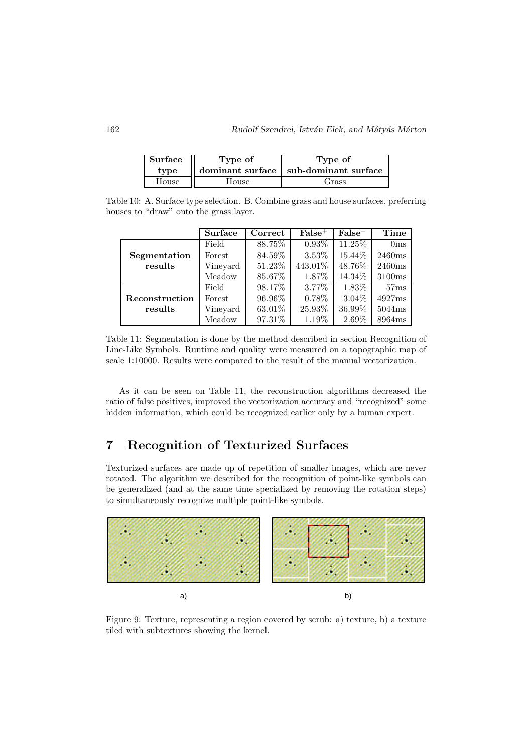| Surface | Type of | Type of                                 |
|---------|---------|-----------------------------------------|
| type    |         | dominant surface   sub-dominant surface |
| House   | House   | Grass                                   |

Table 10: A. Surface type selection. B. Combine grass and house surfaces, preferring houses to "draw" onto the grass layer.

|                | <b>Surface</b> | Correct | $False^+$ | $False^-$ | Time            |
|----------------|----------------|---------|-----------|-----------|-----------------|
|                | Field          | 88.75%  | $0.93\%$  | 11.25\%   | 0 <sub>ms</sub> |
| Segmentation   | Forest         | 84.59%  | $3.53\%$  | 15.44\%   | 2460ms          |
| results        | Vineyard       | 51.23%  | 443.01%   | 48.76%    | 2460ms          |
|                | Meadow         | 85.67%  | 1.87\%    | 14.34\%   | 3100ms          |
|                | Field          | 98.17\% | $3.77\%$  | 1.83%     | 57ms            |
| Reconstruction | Forest         | 96.96%  | 0.78%     | $3.04\%$  | 4927ms          |
| results        | Vineyard       | 63.01%  | 25.93%    | 36.99%    | 5044ms          |
|                | Meadow         | 97.31%  | 1.19%     | 2.69%     | 8964ms          |

Table 11: Segmentation is done by the method described in section Recognition of Line-Like Symbols. Runtime and quality were measured on a topographic map of scale 1:10000. Results were compared to the result of the manual vectorization.

As it can be seen on Table 11, the reconstruction algorithms decreased the ratio of false positives, improved the vectorization accuracy and "recognized" some hidden information, which could be recognized earlier only by a human expert.

# 7 Recognition of Texturized Surfaces

Texturized surfaces are made up of repetition of smaller images, which are never rotated. The algorithm we described for the recognition of point-like symbols can be generalized (and at the same time specialized by removing the rotation steps) to simultaneously recognize multiple point-like symbols.



Figure 9: Texture, representing a region covered by scrub: a) texture, b) a texture tiled with subtextures showing the kernel.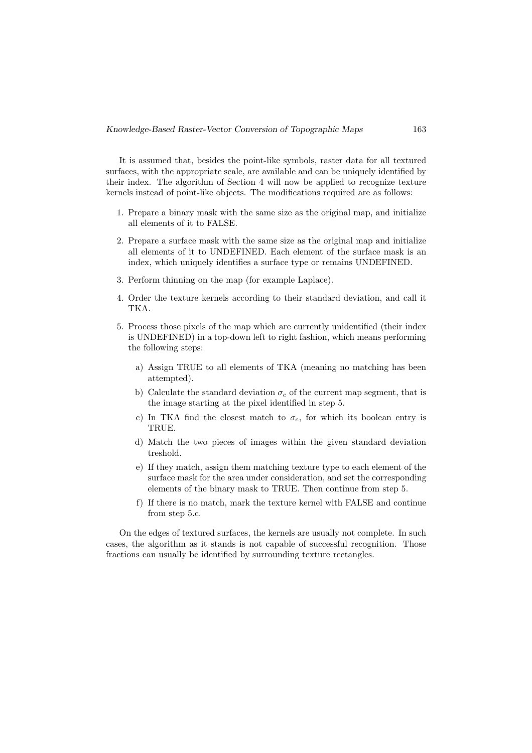It is assumed that, besides the point-like symbols, raster data for all textured surfaces, with the appropriate scale, are available and can be uniquely identified by their index. The algorithm of Section 4 will now be applied to recognize texture kernels instead of point-like objects. The modifications required are as follows:

- 1. Prepare a binary mask with the same size as the original map, and initialize all elements of it to FALSE.
- 2. Prepare a surface mask with the same size as the original map and initialize all elements of it to UNDEFINED. Each element of the surface mask is an index, which uniquely identifies a surface type or remains UNDEFINED.
- 3. Perform thinning on the map (for example Laplace).
- 4. Order the texture kernels according to their standard deviation, and call it TKA.
- 5. Process those pixels of the map which are currently unidentified (their index is UNDEFINED) in a top-down left to right fashion, which means performing the following steps:
	- a) Assign TRUE to all elements of TKA (meaning no matching has been attempted).
	- b) Calculate the standard deviation  $\sigma_c$  of the current map segment, that is the image starting at the pixel identified in step 5.
	- c) In TKA find the closest match to  $\sigma_c$ , for which its boolean entry is TRUE.
	- d) Match the two pieces of images within the given standard deviation treshold.
	- e) If they match, assign them matching texture type to each element of the surface mask for the area under consideration, and set the corresponding elements of the binary mask to TRUE. Then continue from step 5.
	- f) If there is no match, mark the texture kernel with FALSE and continue from step 5.c.

On the edges of textured surfaces, the kernels are usually not complete. In such cases, the algorithm as it stands is not capable of successful recognition. Those fractions can usually be identified by surrounding texture rectangles.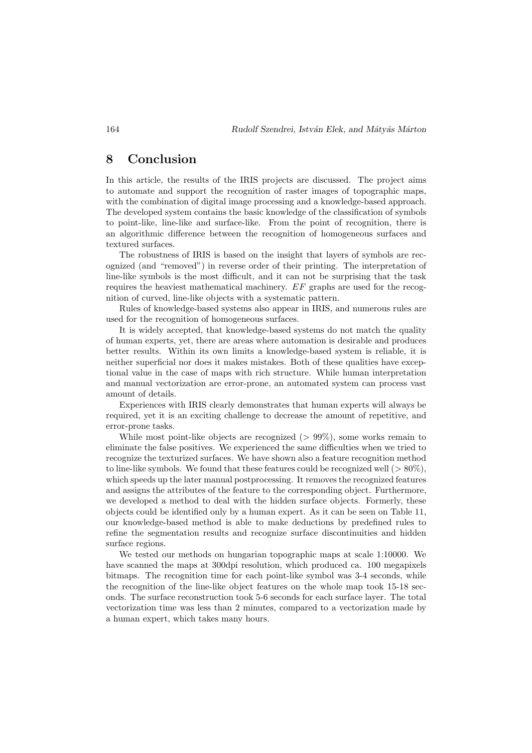### 8 Conclusion

In this article, the results of the IRIS projects are discussed. The project aims to automate and support the recognition of raster images of topographic maps, with the combination of digital image processing and a knowledge-based approach. The developed system contains the basic knowledge of the classification of symbols to point-like, line-like and surface-like. From the point of recognition, there is an algorithmic difference between the recognition of homogeneous surfaces and textured surfaces.

The robustness of IRIS is based on the insight that layers of symbols are recognized (and "removed") in reverse order of their printing. The interpretation of line-like symbols is the most difficult, and it can not be surprising that the task requires the heaviest mathematical machinery. EF graphs are used for the recognition of curved, line-like objects with a systematic pattern.

Rules of knowledge-based systems also appear in IRIS, and numerous rules are used for the recognition of homogeneous surfaces.

It is widely accepted, that knowledge-based systems do not match the quality of human experts, yet, there are areas where automation is desirable and produces better results. Within its own limits a knowledge-based system is reliable, it is neither superficial nor does it makes mistakes. Both of these qualities have exceptional value in the case of maps with rich structure. While human interpretation and manual vectorization are error-prone, an automated system can process vast amount of details.

Experiences with IRIS clearly demonstrates that human experts will always be required, yet it is an exciting challenge to decrease the amount of repetitive, and error-prone tasks.

While most point-like objects are recognized ( $> 99\%$ ), some works remain to eliminate the false positives. We experienced the same difficulties when we tried to recognize the texturized surfaces. We have shown also a feature recognition method to line-like symbols. We found that these features could be recognized well  $(>80\%)$ . which speeds up the later manual postprocessing. It removes the recognized features and assigns the attributes of the feature to the corresponding object. Furthermore, we developed a method to deal with the hidden surface objects. Formerly, these objects could be identified only by a human expert. As it can be seen on Table 11, our knowledge-based method is able to make deductions by predefined rules to refine the segmentation results and recognize surface discontinuities and hidden surface regions.

We tested our methods on hungarian topographic maps at scale 1:10000. We have scanned the maps at 300 dpi resolution, which produced ca. 100 megapixels bitmaps. The recognition time for each point-like symbol was 3-4 seconds, while the recognition of the line-like object features on the whole map took 15-18 seconds. The surface reconstruction took 5-6 seconds for each surface layer. The total vectorization time was less than 2 minutes, compared to a vectorization made by a human expert, which takes many hours.